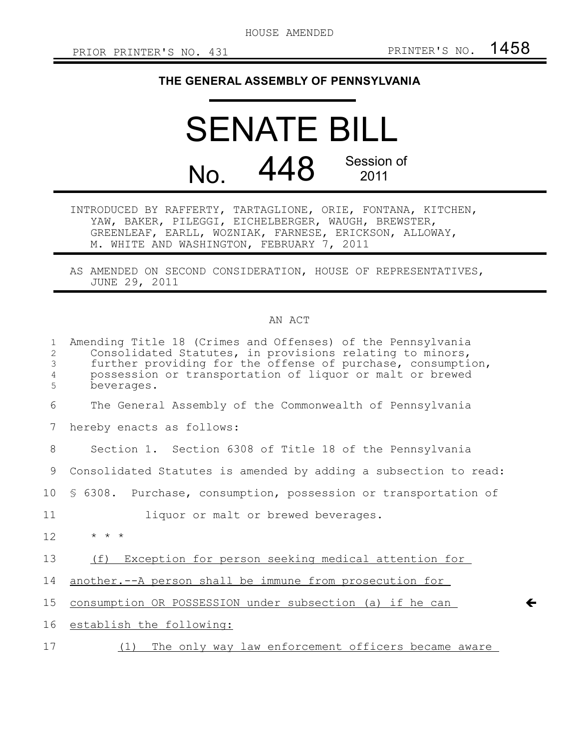$\leftarrow$ 

## **THE GENERAL ASSEMBLY OF PENNSYLVANIA**

## SENATE BILL No. 448 Session of 2011

INTRODUCED BY RAFFERTY, TARTAGLIONE, ORIE, FONTANA, KITCHEN, YAW, BAKER, PILEGGI, EICHELBERGER, WAUGH, BREWSTER, GREENLEAF, EARLL, WOZNIAK, FARNESE, ERICKSON, ALLOWAY, M. WHITE AND WASHINGTON, FEBRUARY 7, 2011

AS AMENDED ON SECOND CONSIDERATION, HOUSE OF REPRESENTATIVES, JUNE 29, 2011

## AN ACT

| $\mathbf{1}$<br>$\overline{c}$<br>3<br>4<br>5 | Amending Title 18 (Crimes and Offenses) of the Pennsylvania<br>Consolidated Statutes, in provisions relating to minors,<br>further providing for the offense of purchase, consumption,<br>possession or transportation of liquor or malt or brewed<br>beverages. |
|-----------------------------------------------|------------------------------------------------------------------------------------------------------------------------------------------------------------------------------------------------------------------------------------------------------------------|
| 6                                             | The General Assembly of the Commonwealth of Pennsylvania                                                                                                                                                                                                         |
| 7                                             | hereby enacts as follows:                                                                                                                                                                                                                                        |
| 8                                             | Section 1. Section 6308 of Title 18 of the Pennsylvania                                                                                                                                                                                                          |
| 9                                             | Consolidated Statutes is amended by adding a subsection to read:                                                                                                                                                                                                 |
| 10 <sup>°</sup>                               | \$ 6308. Purchase, consumption, possession or transportation of                                                                                                                                                                                                  |
| 11                                            | liquor or malt or brewed beverages.                                                                                                                                                                                                                              |
| 12                                            | $\star$ $\star$ $\star$                                                                                                                                                                                                                                          |
| 13                                            | Exception for person seeking medical attention for<br>(f)                                                                                                                                                                                                        |
| 14                                            | another. -- A person shall be immune from prosecution for                                                                                                                                                                                                        |
| 15                                            | consumption OR POSSESSION under subsection (a) if he can                                                                                                                                                                                                         |
| 16                                            | establish the following:                                                                                                                                                                                                                                         |
| 17                                            | (1) The only way law enforcement officers became aware                                                                                                                                                                                                           |